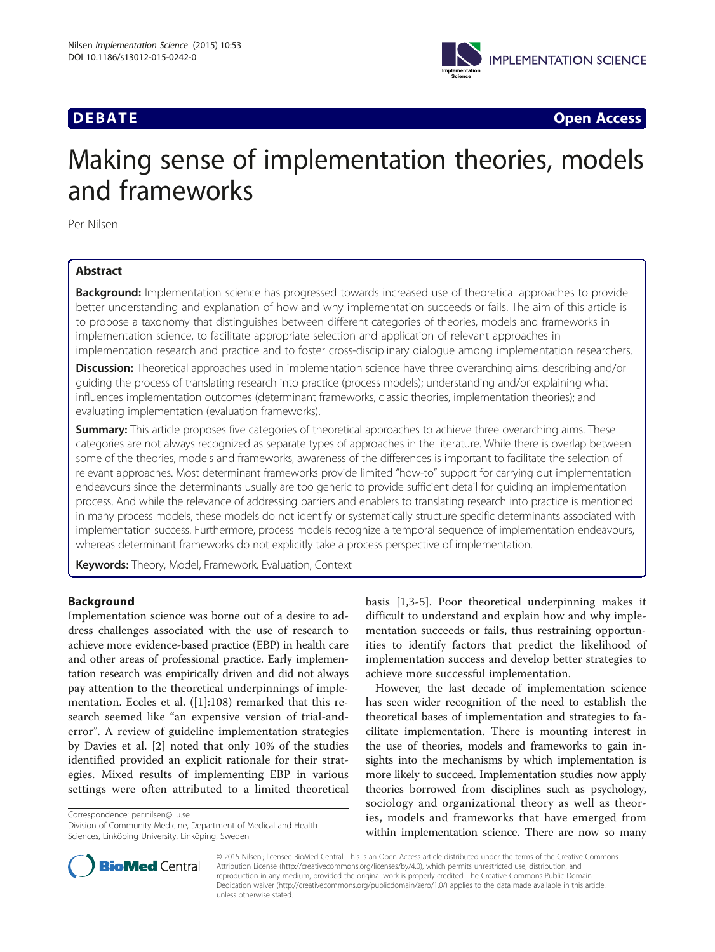

**DEBATE CONSIDERED ACCESS Open Access** 

# Making sense of implementation theories, models and frameworks

Per Nilsen

# Abstract

Background: Implementation science has progressed towards increased use of theoretical approaches to provide better understanding and explanation of how and why implementation succeeds or fails. The aim of this article is to propose a taxonomy that distinguishes between different categories of theories, models and frameworks in implementation science, to facilitate appropriate selection and application of relevant approaches in implementation research and practice and to foster cross-disciplinary dialogue among implementation researchers.

Discussion: Theoretical approaches used in implementation science have three overarching aims: describing and/or guiding the process of translating research into practice (process models); understanding and/or explaining what influences implementation outcomes (determinant frameworks, classic theories, implementation theories); and evaluating implementation (evaluation frameworks).

**Summary:** This article proposes five categories of theoretical approaches to achieve three overarching aims. These categories are not always recognized as separate types of approaches in the literature. While there is overlap between some of the theories, models and frameworks, awareness of the differences is important to facilitate the selection of relevant approaches. Most determinant frameworks provide limited "how-to" support for carrying out implementation endeavours since the determinants usually are too generic to provide sufficient detail for guiding an implementation process. And while the relevance of addressing barriers and enablers to translating research into practice is mentioned in many process models, these models do not identify or systematically structure specific determinants associated with implementation success. Furthermore, process models recognize a temporal sequence of implementation endeavours, whereas determinant frameworks do not explicitly take a process perspective of implementation.

Keywords: Theory, Model, Framework, Evaluation, Context

### Background

Implementation science was borne out of a desire to address challenges associated with the use of research to achieve more evidence-based practice (EBP) in health care and other areas of professional practice. Early implementation research was empirically driven and did not always pay attention to the theoretical underpinnings of implementation. Eccles et al. ([[1\]](#page-9-0):108) remarked that this research seemed like "an expensive version of trial-anderror". A review of guideline implementation strategies by Davies et al. [[2\]](#page-9-0) noted that only 10% of the studies identified provided an explicit rationale for their strategies. Mixed results of implementing EBP in various settings were often attributed to a limited theoretical

Correspondence: [per.nilsen@liu.se](mailto:per.nilsen@liu.se)

Division of Community Medicine, Department of Medical and Health Sciences, Linköping University, Linköping, Sweden



However, the last decade of implementation science has seen wider recognition of the need to establish the theoretical bases of implementation and strategies to facilitate implementation. There is mounting interest in the use of theories, models and frameworks to gain insights into the mechanisms by which implementation is more likely to succeed. Implementation studies now apply theories borrowed from disciplines such as psychology, sociology and organizational theory as well as theories, models and frameworks that have emerged from within implementation science. There are now so many



© 2015 Nilsen.; licensee BioMed Central. This is an Open Access article distributed under the terms of the Creative Commons Attribution License (<http://creativecommons.org/licenses/by/4.0>), which permits unrestricted use, distribution, and reproduction in any medium, provided the original work is properly credited. The Creative Commons Public Domain Dedication waiver [\(http://creativecommons.org/publicdomain/zero/1.0/](http://creativecommons.org/publicdomain/zero/1.0/)) applies to the data made available in this article, unless otherwise stated.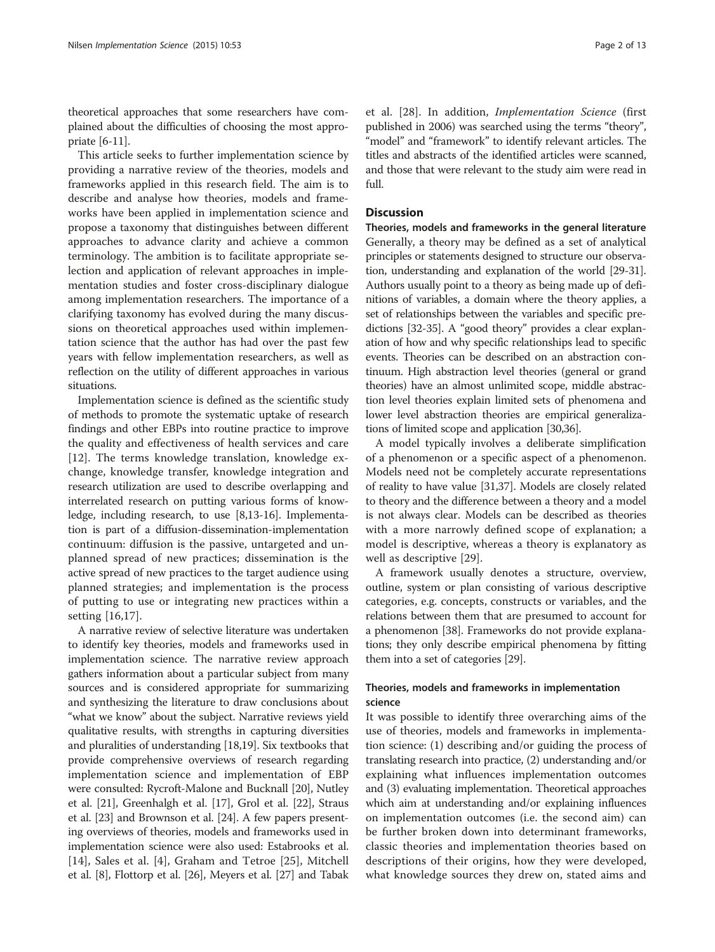theoretical approaches that some researchers have complained about the difficulties of choosing the most appropriate [\[6](#page-9-0)-[11](#page-9-0)].

This article seeks to further implementation science by providing a narrative review of the theories, models and frameworks applied in this research field. The aim is to describe and analyse how theories, models and frameworks have been applied in implementation science and propose a taxonomy that distinguishes between different approaches to advance clarity and achieve a common terminology. The ambition is to facilitate appropriate selection and application of relevant approaches in implementation studies and foster cross-disciplinary dialogue among implementation researchers. The importance of a clarifying taxonomy has evolved during the many discussions on theoretical approaches used within implementation science that the author has had over the past few years with fellow implementation researchers, as well as reflection on the utility of different approaches in various situations.

Implementation science is defined as the scientific study of methods to promote the systematic uptake of research findings and other EBPs into routine practice to improve the quality and effectiveness of health services and care [[12\]](#page-9-0). The terms knowledge translation, knowledge exchange, knowledge transfer, knowledge integration and research utilization are used to describe overlapping and interrelated research on putting various forms of knowledge, including research, to use [\[8,13-16](#page-9-0)]. Implementation is part of a diffusion-dissemination-implementation continuum: diffusion is the passive, untargeted and unplanned spread of new practices; dissemination is the active spread of new practices to the target audience using planned strategies; and implementation is the process of putting to use or integrating new practices within a setting [[16,17\]](#page-9-0).

A narrative review of selective literature was undertaken to identify key theories, models and frameworks used in implementation science. The narrative review approach gathers information about a particular subject from many sources and is considered appropriate for summarizing and synthesizing the literature to draw conclusions about "what we know" about the subject. Narrative reviews yield qualitative results, with strengths in capturing diversities and pluralities of understanding [[18,19\]](#page-9-0). Six textbooks that provide comprehensive overviews of research regarding implementation science and implementation of EBP were consulted: Rycroft-Malone and Bucknall [\[20\]](#page-9-0), Nutley et al. [[21](#page-9-0)], Greenhalgh et al. [\[17](#page-9-0)], Grol et al. [\[22\]](#page-9-0), Straus et al. [\[23\]](#page-9-0) and Brownson et al. [\[24\]](#page-9-0). A few papers presenting overviews of theories, models and frameworks used in implementation science were also used: Estabrooks et al. [[14\]](#page-9-0), Sales et al. [\[4](#page-9-0)], Graham and Tetroe [[25\]](#page-9-0), Mitchell et al. [\[8](#page-9-0)], Flottorp et al. [[26](#page-9-0)], Meyers et al. [[27](#page-9-0)] and Tabak

et al. [[28\]](#page-9-0). In addition, Implementation Science (first published in 2006) was searched using the terms "theory", "model" and "framework" to identify relevant articles. The titles and abstracts of the identified articles were scanned, and those that were relevant to the study aim were read in full.

#### **Discussion**

Theories, models and frameworks in the general literature Generally, a theory may be defined as a set of analytical principles or statements designed to structure our observation, understanding and explanation of the world [\[29](#page-9-0)-[31](#page-9-0)]. Authors usually point to a theory as being made up of definitions of variables, a domain where the theory applies, a set of relationships between the variables and specific predictions [\[32-35\]](#page-9-0). A "good theory" provides a clear explanation of how and why specific relationships lead to specific events. Theories can be described on an abstraction continuum. High abstraction level theories (general or grand theories) have an almost unlimited scope, middle abstraction level theories explain limited sets of phenomena and lower level abstraction theories are empirical generalizations of limited scope and application [\[30,36](#page-9-0)].

A model typically involves a deliberate simplification of a phenomenon or a specific aspect of a phenomenon. Models need not be completely accurate representations of reality to have value [\[31,37\]](#page-9-0). Models are closely related to theory and the difference between a theory and a model is not always clear. Models can be described as theories with a more narrowly defined scope of explanation; a model is descriptive, whereas a theory is explanatory as well as descriptive [[29\]](#page-9-0).

A framework usually denotes a structure, overview, outline, system or plan consisting of various descriptive categories, e.g. concepts, constructs or variables, and the relations between them that are presumed to account for a phenomenon [\[38\]](#page-9-0). Frameworks do not provide explanations; they only describe empirical phenomena by fitting them into a set of categories [\[29\]](#page-9-0).

### Theories, models and frameworks in implementation science

It was possible to identify three overarching aims of the use of theories, models and frameworks in implementation science: (1) describing and/or guiding the process of translating research into practice, (2) understanding and/or explaining what influences implementation outcomes and (3) evaluating implementation. Theoretical approaches which aim at understanding and/or explaining influences on implementation outcomes (i.e. the second aim) can be further broken down into determinant frameworks, classic theories and implementation theories based on descriptions of their origins, how they were developed, what knowledge sources they drew on, stated aims and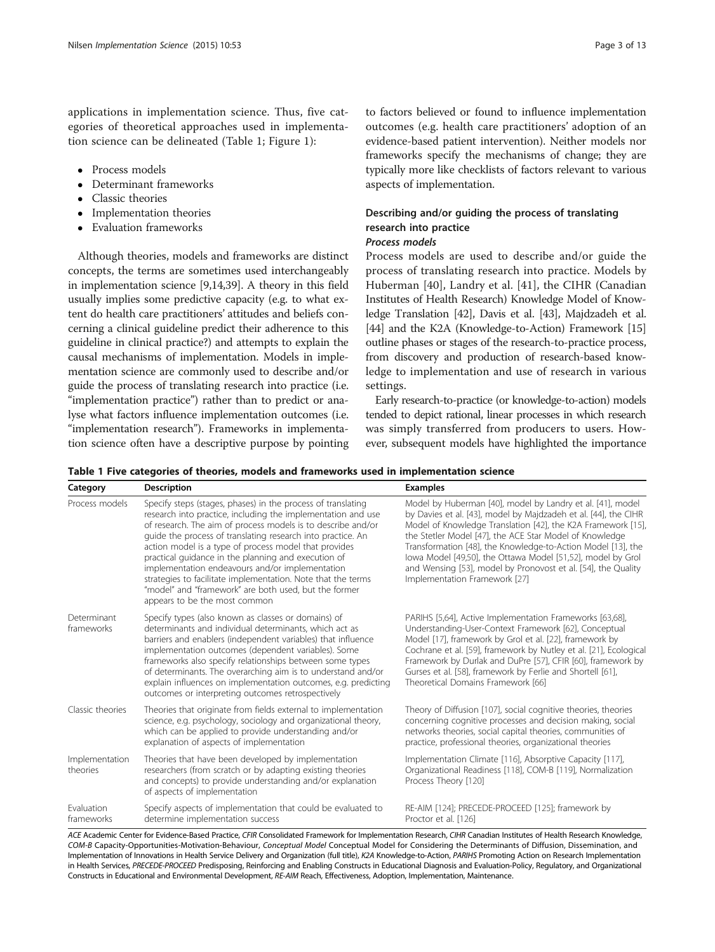applications in implementation science. Thus, five categories of theoretical approaches used in implementation science can be delineated (Table 1; Figure [1](#page-3-0)):

- Process models
- Determinant frameworks
- Classic theories
- Implementation theories
- Evaluation frameworks

Although theories, models and frameworks are distinct concepts, the terms are sometimes used interchangeably in implementation science [\[9,14,39\]](#page-9-0). A theory in this field usually implies some predictive capacity (e.g. to what extent do health care practitioners' attitudes and beliefs concerning a clinical guideline predict their adherence to this guideline in clinical practice?) and attempts to explain the causal mechanisms of implementation. Models in implementation science are commonly used to describe and/or guide the process of translating research into practice (i.e. "implementation practice") rather than to predict or analyse what factors influence implementation outcomes (i.e. "implementation research"). Frameworks in implementation science often have a descriptive purpose by pointing

to factors believed or found to influence implementation outcomes (e.g. health care practitioners' adoption of an evidence-based patient intervention). Neither models nor frameworks specify the mechanisms of change; they are typically more like checklists of factors relevant to various aspects of implementation.

# Describing and/or guiding the process of translating research into practice

## Process models

Process models are used to describe and/or guide the process of translating research into practice. Models by Huberman [[40\]](#page-9-0), Landry et al. [[41](#page-9-0)], the CIHR (Canadian Institutes of Health Research) Knowledge Model of Knowledge Translation [\[42\]](#page-9-0), Davis et al. [\[43\]](#page-9-0), Majdzadeh et al. [[44](#page-9-0)] and the K2A (Knowledge-to-Action) Framework [\[15](#page-9-0)] outline phases or stages of the research-to-practice process, from discovery and production of research-based knowledge to implementation and use of research in various settings.

Early research-to-practice (or knowledge-to-action) models tended to depict rational, linear processes in which research was simply transferred from producers to users. However, subsequent models have highlighted the importance

|  | Table 1 Five categories of theories, models and frameworks used in implementation science |  |  |  |  |  |  |  |  |  |  |
|--|-------------------------------------------------------------------------------------------|--|--|--|--|--|--|--|--|--|--|
|--|-------------------------------------------------------------------------------------------|--|--|--|--|--|--|--|--|--|--|

| Category                   | <b>Description</b>                                                                                                                                                                                                                                                                                                                                                                                                                                                                                                                                                                       | <b>Examples</b>                                                                                                                                                                                                                                                                                                                                                                                                                                                                           |
|----------------------------|------------------------------------------------------------------------------------------------------------------------------------------------------------------------------------------------------------------------------------------------------------------------------------------------------------------------------------------------------------------------------------------------------------------------------------------------------------------------------------------------------------------------------------------------------------------------------------------|-------------------------------------------------------------------------------------------------------------------------------------------------------------------------------------------------------------------------------------------------------------------------------------------------------------------------------------------------------------------------------------------------------------------------------------------------------------------------------------------|
| Process models             | Specify steps (stages, phases) in the process of translating<br>research into practice, including the implementation and use<br>of research. The aim of process models is to describe and/or<br>quide the process of translating research into practice. An<br>action model is a type of process model that provides<br>practical guidance in the planning and execution of<br>implementation endeavours and/or implementation<br>strategies to facilitate implementation. Note that the terms<br>"model" and "framework" are both used, but the former<br>appears to be the most common | Model by Huberman [40], model by Landry et al. [41], model<br>by Davies et al. [43], model by Majdzadeh et al. [44], the CIHR<br>Model of Knowledge Translation [42], the K2A Framework [15],<br>the Stetler Model [47], the ACE Star Model of Knowledge<br>Transformation [48], the Knowledge-to-Action Model [13], the<br>lowa Model [49,50], the Ottawa Model [51,52], model by Grol<br>and Wensing [53], model by Pronovost et al. [54], the Quality<br>Implementation Framework [27] |
| Determinant<br>frameworks  | Specify types (also known as classes or domains) of<br>determinants and individual determinants, which act as<br>barriers and enablers (independent variables) that influence<br>implementation outcomes (dependent variables). Some<br>frameworks also specify relationships between some types<br>of determinants. The overarching aim is to understand and/or<br>explain influences on implementation outcomes, e.g. predicting<br>outcomes or interpreting outcomes retrospectively                                                                                                  | PARIHS [5,64], Active Implementation Frameworks [63,68],<br>Understanding-User-Context Framework [62], Conceptual<br>Model [17], framework by Grol et al. [22], framework by<br>Cochrane et al. [59], framework by Nutley et al. [21], Ecological<br>Framework by Durlak and DuPre [57], CFIR [60], framework by<br>Gurses et al. [58], framework by Ferlie and Shortell [61],<br>Theoretical Domains Framework [66]                                                                      |
| Classic theories           | Theories that originate from fields external to implementation<br>science, e.g. psychology, sociology and organizational theory,<br>which can be applied to provide understanding and/or<br>explanation of aspects of implementation                                                                                                                                                                                                                                                                                                                                                     | Theory of Diffusion [107], social cognitive theories, theories<br>concerning cognitive processes and decision making, social<br>networks theories, social capital theories, communities of<br>practice, professional theories, organizational theories                                                                                                                                                                                                                                    |
| Implementation<br>theories | Theories that have been developed by implementation<br>researchers (from scratch or by adapting existing theories<br>and concepts) to provide understanding and/or explanation<br>of aspects of implementation                                                                                                                                                                                                                                                                                                                                                                           | Implementation Climate [116], Absorptive Capacity [117],<br>Organizational Readiness [118], COM-B [119], Normalization<br>Process Theory [120]                                                                                                                                                                                                                                                                                                                                            |
| Fvaluation<br>frameworks   | Specify aspects of implementation that could be evaluated to<br>determine implementation success                                                                                                                                                                                                                                                                                                                                                                                                                                                                                         | RE-AIM [124]; PRECEDE-PROCEED [125]; framework by<br>Proctor et al. [126]                                                                                                                                                                                                                                                                                                                                                                                                                 |

ACE Academic Center for Evidence-Based Practice, CFIR Consolidated Framework for Implementation Research, CIHR Canadian Institutes of Health Research Knowledge, COM-B Capacity-Opportunities-Motivation-Behaviour, Conceptual Model Conceptual Model for Considering the Determinants of Diffusion, Dissemination, and Implementation of Innovations in Health Service Delivery and Organization (full title), K2A Knowledge-to-Action, PARIHS Promoting Action on Research Implementation in Health Services, PRECEDE-PROCEED Predisposing, Reinforcing and Enabling Constructs in Educational Diagnosis and Evaluation-Policy, Regulatory, and Organizational Constructs in Educational and Environmental Development, RE-AIM Reach, Effectiveness, Adoption, Implementation, Maintenance.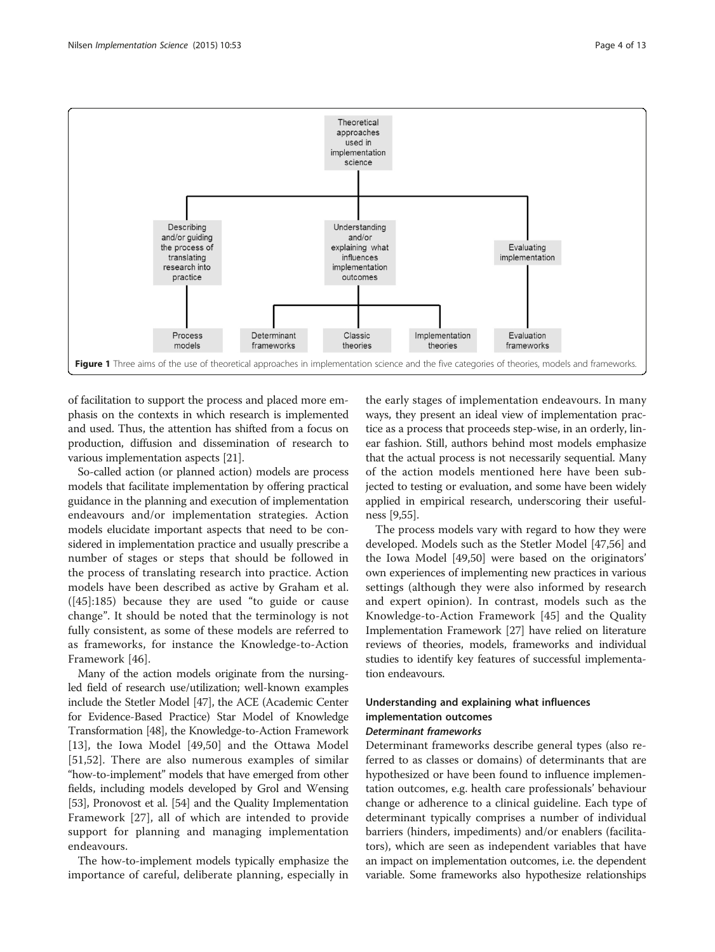<span id="page-3-0"></span>

of facilitation to support the process and placed more emphasis on the contexts in which research is implemented and used. Thus, the attention has shifted from a focus on production, diffusion and dissemination of research to various implementation aspects [[21](#page-9-0)].

So-called action (or planned action) models are process models that facilitate implementation by offering practical guidance in the planning and execution of implementation endeavours and/or implementation strategies. Action models elucidate important aspects that need to be considered in implementation practice and usually prescribe a number of stages or steps that should be followed in the process of translating research into practice. Action models have been described as active by Graham et al. ([\[45](#page-9-0)]:185) because they are used "to guide or cause change". It should be noted that the terminology is not fully consistent, as some of these models are referred to as frameworks, for instance the Knowledge-to-Action Framework [[46](#page-10-0)].

Many of the action models originate from the nursingled field of research use/utilization; well-known examples include the Stetler Model [\[47](#page-10-0)], the ACE (Academic Center for Evidence-Based Practice) Star Model of Knowledge Transformation [[48](#page-10-0)], the Knowledge-to-Action Framework [[13\]](#page-9-0), the Iowa Model [\[49,50](#page-10-0)] and the Ottawa Model [[51,52](#page-10-0)]. There are also numerous examples of similar "how-to-implement" models that have emerged from other fields, including models developed by Grol and Wensing [[53](#page-10-0)], Pronovost et al. [\[54](#page-10-0)] and the Quality Implementation Framework [[27](#page-9-0)], all of which are intended to provide support for planning and managing implementation endeavours.

The how-to-implement models typically emphasize the importance of careful, deliberate planning, especially in

the early stages of implementation endeavours. In many ways, they present an ideal view of implementation practice as a process that proceeds step-wise, in an orderly, linear fashion. Still, authors behind most models emphasize that the actual process is not necessarily sequential. Many of the action models mentioned here have been subjected to testing or evaluation, and some have been widely applied in empirical research, underscoring their usefulness [\[9](#page-9-0)[,55](#page-10-0)].

The process models vary with regard to how they were developed. Models such as the Stetler Model [[47](#page-10-0),[56](#page-10-0)] and the Iowa Model [[49,50\]](#page-10-0) were based on the originators' own experiences of implementing new practices in various settings (although they were also informed by research and expert opinion). In contrast, models such as the Knowledge-to-Action Framework [\[45](#page-9-0)] and the Quality Implementation Framework [[27](#page-9-0)] have relied on literature reviews of theories, models, frameworks and individual studies to identify key features of successful implementation endeavours.

# Understanding and explaining what influences implementation outcomes

#### Determinant frameworks

Determinant frameworks describe general types (also referred to as classes or domains) of determinants that are hypothesized or have been found to influence implementation outcomes, e.g. health care professionals' behaviour change or adherence to a clinical guideline. Each type of determinant typically comprises a number of individual barriers (hinders, impediments) and/or enablers (facilitators), which are seen as independent variables that have an impact on implementation outcomes, i.e. the dependent variable. Some frameworks also hypothesize relationships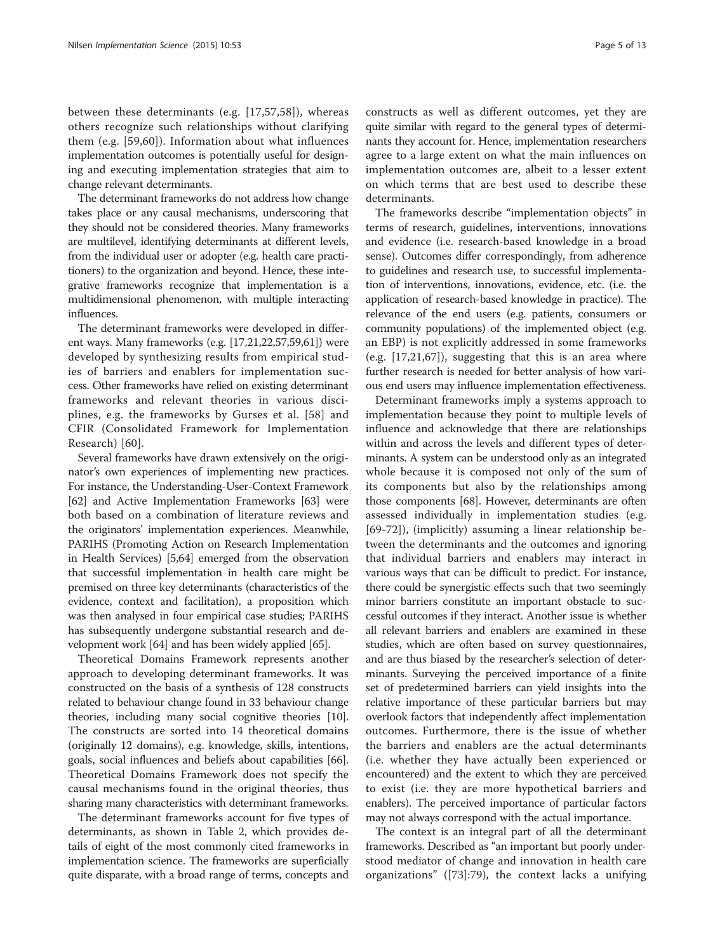between these determinants (e.g. [[17](#page-9-0)[,57,58](#page-10-0)]), whereas others recognize such relationships without clarifying them (e.g. [\[59,60](#page-10-0)]). Information about what influences implementation outcomes is potentially useful for designing and executing implementation strategies that aim to change relevant determinants.

The determinant frameworks do not address how change takes place or any causal mechanisms, underscoring that they should not be considered theories. Many frameworks are multilevel, identifying determinants at different levels, from the individual user or adopter (e.g. health care practitioners) to the organization and beyond. Hence, these integrative frameworks recognize that implementation is a multidimensional phenomenon, with multiple interacting influences.

The determinant frameworks were developed in different ways. Many frameworks (e.g. [\[17,21,22](#page-9-0)[,57,59,61](#page-10-0)]) were developed by synthesizing results from empirical studies of barriers and enablers for implementation success. Other frameworks have relied on existing determinant frameworks and relevant theories in various disciplines, e.g. the frameworks by Gurses et al. [[58](#page-10-0)] and CFIR (Consolidated Framework for Implementation Research) [\[60](#page-10-0)].

Several frameworks have drawn extensively on the originator's own experiences of implementing new practices. For instance, the Understanding-User-Context Framework [[62](#page-10-0)] and Active Implementation Frameworks [[63](#page-10-0)] were both based on a combination of literature reviews and the originators' implementation experiences. Meanwhile, PARIHS (Promoting Action on Research Implementation in Health Services) [[5,](#page-9-0)[64](#page-10-0)] emerged from the observation that successful implementation in health care might be premised on three key determinants (characteristics of the evidence, context and facilitation), a proposition which was then analysed in four empirical case studies; PARIHS has subsequently undergone substantial research and development work [\[64](#page-10-0)] and has been widely applied [[65](#page-10-0)].

Theoretical Domains Framework represents another approach to developing determinant frameworks. It was constructed on the basis of a synthesis of 128 constructs related to behaviour change found in 33 behaviour change theories, including many social cognitive theories [[10](#page-9-0)]. The constructs are sorted into 14 theoretical domains (originally 12 domains), e.g. knowledge, skills, intentions, goals, social influences and beliefs about capabilities [[66](#page-10-0)]. Theoretical Domains Framework does not specify the causal mechanisms found in the original theories, thus sharing many characteristics with determinant frameworks.

The determinant frameworks account for five types of determinants, as shown in Table [2,](#page-5-0) which provides details of eight of the most commonly cited frameworks in implementation science. The frameworks are superficially quite disparate, with a broad range of terms, concepts and

constructs as well as different outcomes, yet they are quite similar with regard to the general types of determinants they account for. Hence, implementation researchers agree to a large extent on what the main influences on implementation outcomes are, albeit to a lesser extent on which terms that are best used to describe these determinants.

The frameworks describe "implementation objects" in terms of research, guidelines, interventions, innovations and evidence (i.e. research-based knowledge in a broad sense). Outcomes differ correspondingly, from adherence to guidelines and research use, to successful implementation of interventions, innovations, evidence, etc. (i.e. the application of research-based knowledge in practice). The relevance of the end users (e.g. patients, consumers or community populations) of the implemented object (e.g. an EBP) is not explicitly addressed in some frameworks (e.g. [[17,21,](#page-9-0)[67](#page-10-0)]), suggesting that this is an area where further research is needed for better analysis of how various end users may influence implementation effectiveness.

Determinant frameworks imply a systems approach to implementation because they point to multiple levels of influence and acknowledge that there are relationships within and across the levels and different types of determinants. A system can be understood only as an integrated whole because it is composed not only of the sum of its components but also by the relationships among those components [\[68\]](#page-10-0). However, determinants are often assessed individually in implementation studies (e.g. [[69](#page-10-0)-[72\]](#page-10-0)), (implicitly) assuming a linear relationship between the determinants and the outcomes and ignoring that individual barriers and enablers may interact in various ways that can be difficult to predict. For instance, there could be synergistic effects such that two seemingly minor barriers constitute an important obstacle to successful outcomes if they interact. Another issue is whether all relevant barriers and enablers are examined in these studies, which are often based on survey questionnaires, and are thus biased by the researcher's selection of determinants. Surveying the perceived importance of a finite set of predetermined barriers can yield insights into the relative importance of these particular barriers but may overlook factors that independently affect implementation outcomes. Furthermore, there is the issue of whether the barriers and enablers are the actual determinants (i.e. whether they have actually been experienced or encountered) and the extent to which they are perceived to exist (i.e. they are more hypothetical barriers and enablers). The perceived importance of particular factors may not always correspond with the actual importance.

The context is an integral part of all the determinant frameworks. Described as "an important but poorly understood mediator of change and innovation in health care organizations" ([\[73](#page-10-0)]:79), the context lacks a unifying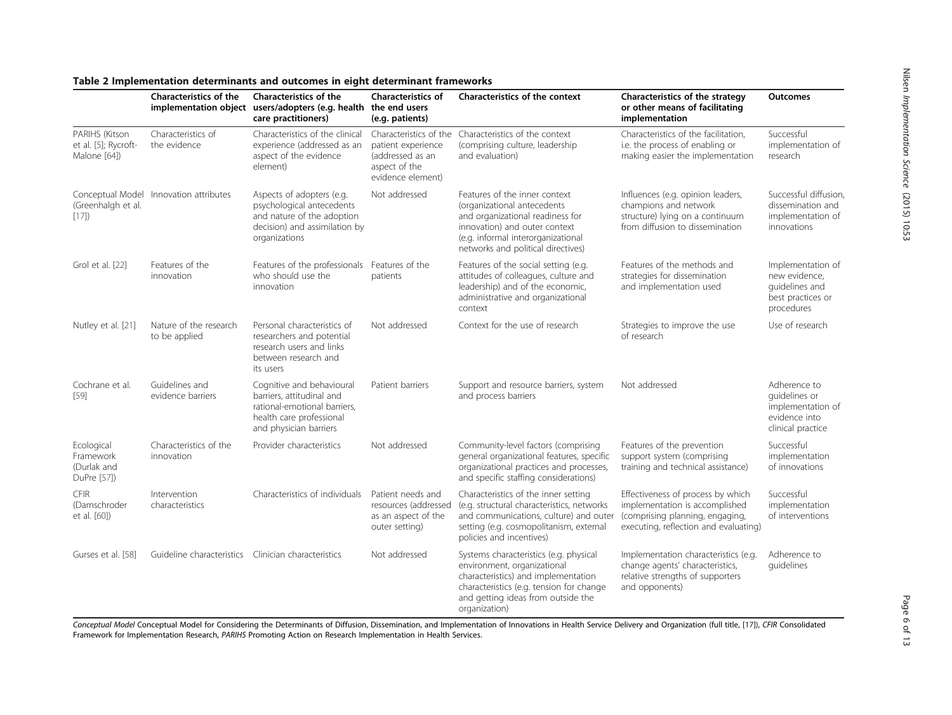|                                                        | <b>Characteristics of the</b>           | <b>Characteristics of the</b><br>implementation object users/adopters (e.g. health the end users<br>care practitioners)                      | <b>Characteristics of</b><br>(e.g. patients)                                                           | Characteristics of the context                                                                                                                                                                                  | Characteristics of the strategy<br>or other means of facilitating<br>implementation                                                             | <b>Outcomes</b>                                                                          |
|--------------------------------------------------------|-----------------------------------------|----------------------------------------------------------------------------------------------------------------------------------------------|--------------------------------------------------------------------------------------------------------|-----------------------------------------------------------------------------------------------------------------------------------------------------------------------------------------------------------------|-------------------------------------------------------------------------------------------------------------------------------------------------|------------------------------------------------------------------------------------------|
| PARIHS (Kitson<br>et al. [5]; Rycroft-<br>Malone [64]) | Characteristics of<br>the evidence      | Characteristics of the clinical<br>experience (addressed as an<br>aspect of the evidence<br>element)                                         | Characteristics of the<br>patient experience<br>(addressed as an<br>aspect of the<br>evidence element) | Characteristics of the context<br>(comprising culture, leadership<br>and evaluation)                                                                                                                            | Characteristics of the facilitation,<br>i.e. the process of enabling or<br>making easier the implementation                                     | Successful<br>implementation of<br>research                                              |
| (Greenhalgh et al.<br>[17]                             | Conceptual Model Innovation attributes  | Aspects of adopters (e.g.<br>psychological antecedents<br>and nature of the adoption<br>decision) and assimilation by<br>organizations       | Not addressed                                                                                          | Features of the inner context<br>(organizational antecedents<br>and organizational readiness for<br>innovation) and outer context<br>(e.g. informal interorganizational<br>networks and political directives)   | Influences (e.g. opinion leaders,<br>champions and network<br>structure) lying on a continuum<br>from diffusion to dissemination                | Successful diffusion,<br>dissemination and<br>implementation of<br>innovations           |
| Grol et al. [22]                                       | Features of the<br>innovation           | Features of the professionals Features of the<br>who should use the<br>innovation                                                            | patients                                                                                               | Features of the social setting (e.g.<br>attitudes of colleagues, culture and<br>leadership) and of the economic,<br>administrative and organizational<br>context                                                | Features of the methods and<br>strategies for dissemination<br>and implementation used                                                          | Implementation of<br>new evidence,<br>quidelines and<br>best practices or<br>procedures  |
| Nutley et al. [21]                                     | Nature of the research<br>to be applied | Personal characteristics of<br>researchers and potential<br>research users and links<br>between research and<br>its users                    | Not addressed                                                                                          | Context for the use of research                                                                                                                                                                                 | Strategies to improve the use<br>of research                                                                                                    | Use of research                                                                          |
| Cochrane et al.<br>[59]                                | Guidelines and<br>evidence barriers     | Cognitive and behavioural<br>barriers, attitudinal and<br>rational-emotional barriers,<br>health care professional<br>and physician barriers | Patient barriers                                                                                       | Support and resource barriers, system<br>and process barriers                                                                                                                                                   | Not addressed                                                                                                                                   | Adherence to<br>quidelines or<br>implementation of<br>evidence into<br>clinical practice |
| Ecological<br>Framework<br>(Durlak and<br>DuPre [57])  | Characteristics of the<br>innovation    | Provider characteristics                                                                                                                     | Not addressed                                                                                          | Community-level factors (comprising<br>general organizational features, specific<br>organizational practices and processes,<br>and specific staffing considerations)                                            | Features of the prevention<br>support system (comprising<br>training and technical assistance)                                                  | Successful<br>implementation<br>of innovations                                           |
| <b>CFIR</b><br>(Damschroder<br>et al. [60])            | Intervention<br>characteristics         | Characteristics of individuals                                                                                                               | Patient needs and<br>resources (addressed<br>as an aspect of the<br>outer setting)                     | Characteristics of the inner setting<br>(e.g. structural characteristics, networks<br>and communications, culture) and outer<br>setting (e.g. cosmopolitanism, external<br>policies and incentives)             | Effectiveness of process by which<br>implementation is accomplished<br>(comprising planning, engaging,<br>executing, reflection and evaluating) | Successful<br>implementation<br>of interventions                                         |
| Gurses et al. [58]                                     | Guideline characteristics               | Clinician characteristics                                                                                                                    | Not addressed                                                                                          | Systems characteristics (e.g. physical<br>environment, organizational<br>characteristics) and implementation<br>characteristics (e.g. tension for change<br>and getting ideas from outside the<br>organization) | Implementation characteristics (e.g.<br>change agents' characteristics,<br>relative strengths of supporters<br>and opponents)                   | Adherence to<br>quidelines                                                               |

#### <span id="page-5-0"></span>Table 2 Implementation determinants and outcomes in eight determinant frameworks

Conceptual Model Conceptual Model for Considering the Determinants of Diffusion, Dissemination, and Implementation of Innovations in Health Service Delivery and Organization (full title, [\[17](#page-9-0)]), CFIR Consolidated Framework for Implementation Research, PARIHS Promoting Action on Research Implementation in Health Services.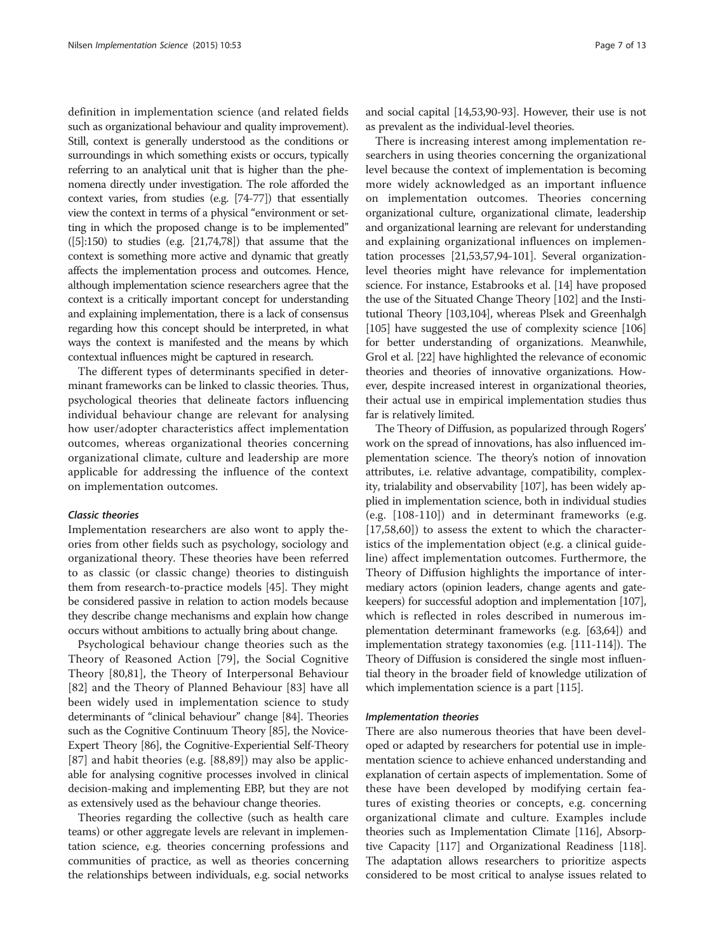definition in implementation science (and related fields such as organizational behaviour and quality improvement). Still, context is generally understood as the conditions or surroundings in which something exists or occurs, typically referring to an analytical unit that is higher than the phenomena directly under investigation. The role afforded the context varies, from studies (e.g. [\[74-77](#page-10-0)]) that essentially view the context in terms of a physical "environment or setting in which the proposed change is to be implemented"  $([5]:150)$  $([5]:150)$  $([5]:150)$  to studies (e.g.  $[21,74,78]$  $[21,74,78]$  $[21,74,78]$ ) that assume that the context is something more active and dynamic that greatly affects the implementation process and outcomes. Hence, although implementation science researchers agree that the context is a critically important concept for understanding and explaining implementation, there is a lack of consensus regarding how this concept should be interpreted, in what ways the context is manifested and the means by which contextual influences might be captured in research.

The different types of determinants specified in determinant frameworks can be linked to classic theories. Thus, psychological theories that delineate factors influencing individual behaviour change are relevant for analysing how user/adopter characteristics affect implementation outcomes, whereas organizational theories concerning organizational climate, culture and leadership are more applicable for addressing the influence of the context on implementation outcomes.

#### Classic theories

Implementation researchers are also wont to apply theories from other fields such as psychology, sociology and organizational theory. These theories have been referred to as classic (or classic change) theories to distinguish them from research-to-practice models [[45](#page-9-0)]. They might be considered passive in relation to action models because they describe change mechanisms and explain how change occurs without ambitions to actually bring about change.

Psychological behaviour change theories such as the Theory of Reasoned Action [[79\]](#page-10-0), the Social Cognitive Theory [[80,81](#page-10-0)], the Theory of Interpersonal Behaviour [[82\]](#page-10-0) and the Theory of Planned Behaviour [[83\]](#page-10-0) have all been widely used in implementation science to study determinants of "clinical behaviour" change [\[84](#page-10-0)]. Theories such as the Cognitive Continuum Theory [\[85](#page-10-0)], the Novice-Expert Theory [\[86\]](#page-10-0), the Cognitive-Experiential Self-Theory [[87\]](#page-10-0) and habit theories (e.g. [\[88,89](#page-10-0)]) may also be applicable for analysing cognitive processes involved in clinical decision-making and implementing EBP, but they are not as extensively used as the behaviour change theories.

Theories regarding the collective (such as health care teams) or other aggregate levels are relevant in implementation science, e.g. theories concerning professions and communities of practice, as well as theories concerning the relationships between individuals, e.g. social networks

and social capital [\[14,](#page-9-0)[53,90](#page-10-0)-[93](#page-10-0)]. However, their use is not as prevalent as the individual-level theories.

There is increasing interest among implementation researchers in using theories concerning the organizational level because the context of implementation is becoming more widely acknowledged as an important influence on implementation outcomes. Theories concerning organizational culture, organizational climate, leadership and organizational learning are relevant for understanding and explaining organizational influences on implementation processes [[21,](#page-9-0)[53,57,](#page-10-0)[94-101\]](#page-11-0). Several organizationlevel theories might have relevance for implementation science. For instance, Estabrooks et al. [[14](#page-9-0)] have proposed the use of the Situated Change Theory [\[102\]](#page-11-0) and the Institutional Theory [\[103,104](#page-11-0)], whereas Plsek and Greenhalgh [[105](#page-11-0)] have suggested the use of complexity science [\[106](#page-11-0)] for better understanding of organizations. Meanwhile, Grol et al. [\[22\]](#page-9-0) have highlighted the relevance of economic theories and theories of innovative organizations. However, despite increased interest in organizational theories, their actual use in empirical implementation studies thus far is relatively limited.

The Theory of Diffusion, as popularized through Rogers' work on the spread of innovations, has also influenced implementation science. The theory's notion of innovation attributes, i.e. relative advantage, compatibility, complexity, trialability and observability [[107](#page-11-0)], has been widely applied in implementation science, both in individual studies (e.g. [[108-110](#page-11-0)]) and in determinant frameworks (e.g. [[17](#page-9-0)[,58,60](#page-10-0)]) to assess the extent to which the characteristics of the implementation object (e.g. a clinical guideline) affect implementation outcomes. Furthermore, the Theory of Diffusion highlights the importance of intermediary actors (opinion leaders, change agents and gatekeepers) for successful adoption and implementation [\[107](#page-11-0)], which is reflected in roles described in numerous implementation determinant frameworks (e.g. [[63,64\]](#page-10-0)) and implementation strategy taxonomies (e.g. [\[111-114\]](#page-11-0)). The Theory of Diffusion is considered the single most influential theory in the broader field of knowledge utilization of which implementation science is a part [\[115\]](#page-11-0).

#### Implementation theories

There are also numerous theories that have been developed or adapted by researchers for potential use in implementation science to achieve enhanced understanding and explanation of certain aspects of implementation. Some of these have been developed by modifying certain features of existing theories or concepts, e.g. concerning organizational climate and culture. Examples include theories such as Implementation Climate [\[116](#page-11-0)], Absorptive Capacity [\[117\]](#page-11-0) and Organizational Readiness [[118](#page-11-0)]. The adaptation allows researchers to prioritize aspects considered to be most critical to analyse issues related to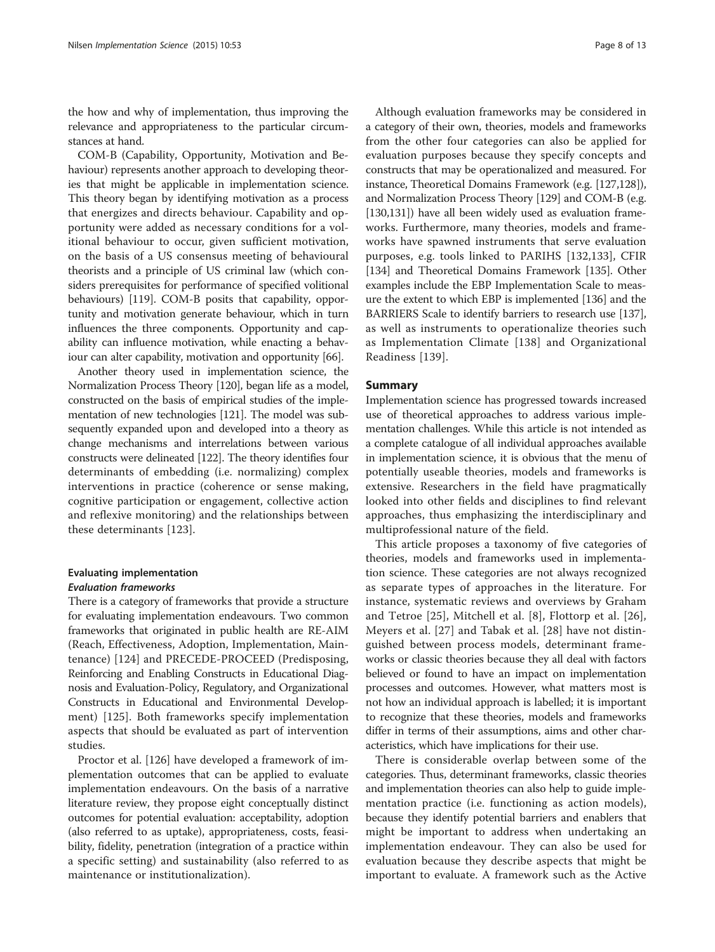the how and why of implementation, thus improving the relevance and appropriateness to the particular circumstances at hand.

COM-B (Capability, Opportunity, Motivation and Behaviour) represents another approach to developing theories that might be applicable in implementation science. This theory began by identifying motivation as a process that energizes and directs behaviour. Capability and opportunity were added as necessary conditions for a volitional behaviour to occur, given sufficient motivation, on the basis of a US consensus meeting of behavioural theorists and a principle of US criminal law (which considers prerequisites for performance of specified volitional behaviours) [\[119\]](#page-11-0). COM-B posits that capability, opportunity and motivation generate behaviour, which in turn influences the three components. Opportunity and capability can influence motivation, while enacting a behaviour can alter capability, motivation and opportunity [[66](#page-10-0)].

Another theory used in implementation science, the Normalization Process Theory [\[120](#page-11-0)], began life as a model, constructed on the basis of empirical studies of the implementation of new technologies [\[121](#page-11-0)]. The model was subsequently expanded upon and developed into a theory as change mechanisms and interrelations between various constructs were delineated [[122\]](#page-11-0). The theory identifies four determinants of embedding (i.e. normalizing) complex interventions in practice (coherence or sense making, cognitive participation or engagement, collective action and reflexive monitoring) and the relationships between these determinants [\[123](#page-11-0)].

#### Evaluating implementation Evaluation frameworks

There is a category of frameworks that provide a structure for evaluating implementation endeavours. Two common frameworks that originated in public health are RE-AIM (Reach, Effectiveness, Adoption, Implementation, Maintenance) [\[124](#page-11-0)] and PRECEDE-PROCEED (Predisposing, Reinforcing and Enabling Constructs in Educational Diagnosis and Evaluation-Policy, Regulatory, and Organizational Constructs in Educational and Environmental Development) [\[125](#page-11-0)]. Both frameworks specify implementation aspects that should be evaluated as part of intervention studies.

Proctor et al. [\[126\]](#page-11-0) have developed a framework of implementation outcomes that can be applied to evaluate implementation endeavours. On the basis of a narrative literature review, they propose eight conceptually distinct outcomes for potential evaluation: acceptability, adoption (also referred to as uptake), appropriateness, costs, feasibility, fidelity, penetration (integration of a practice within a specific setting) and sustainability (also referred to as maintenance or institutionalization).

Although evaluation frameworks may be considered in a category of their own, theories, models and frameworks from the other four categories can also be applied for evaluation purposes because they specify concepts and constructs that may be operationalized and measured. For instance, Theoretical Domains Framework (e.g. [\[127,128](#page-11-0)]), and Normalization Process Theory [[129](#page-11-0)] and COM-B (e.g. [[130,131\]](#page-11-0)) have all been widely used as evaluation frameworks. Furthermore, many theories, models and frameworks have spawned instruments that serve evaluation purposes, e.g. tools linked to PARIHS [\[132](#page-11-0),[133\]](#page-11-0), CFIR [[134](#page-11-0)] and Theoretical Domains Framework [[135](#page-11-0)]. Other examples include the EBP Implementation Scale to measure the extent to which EBP is implemented [\[136](#page-11-0)] and the BARRIERS Scale to identify barriers to research use [[137](#page-11-0)], as well as instruments to operationalize theories such as Implementation Climate [[138](#page-11-0)] and Organizational Readiness [[139](#page-11-0)].

#### Summary

Implementation science has progressed towards increased use of theoretical approaches to address various implementation challenges. While this article is not intended as a complete catalogue of all individual approaches available in implementation science, it is obvious that the menu of potentially useable theories, models and frameworks is extensive. Researchers in the field have pragmatically looked into other fields and disciplines to find relevant approaches, thus emphasizing the interdisciplinary and multiprofessional nature of the field.

This article proposes a taxonomy of five categories of theories, models and frameworks used in implementation science. These categories are not always recognized as separate types of approaches in the literature. For instance, systematic reviews and overviews by Graham and Tetroe [\[25\]](#page-9-0), Mitchell et al. [[8\]](#page-9-0), Flottorp et al. [[26](#page-9-0)], Meyers et al. [\[27](#page-9-0)] and Tabak et al. [[28\]](#page-9-0) have not distinguished between process models, determinant frameworks or classic theories because they all deal with factors believed or found to have an impact on implementation processes and outcomes. However, what matters most is not how an individual approach is labelled; it is important to recognize that these theories, models and frameworks differ in terms of their assumptions, aims and other characteristics, which have implications for their use.

There is considerable overlap between some of the categories. Thus, determinant frameworks, classic theories and implementation theories can also help to guide implementation practice (i.e. functioning as action models), because they identify potential barriers and enablers that might be important to address when undertaking an implementation endeavour. They can also be used for evaluation because they describe aspects that might be important to evaluate. A framework such as the Active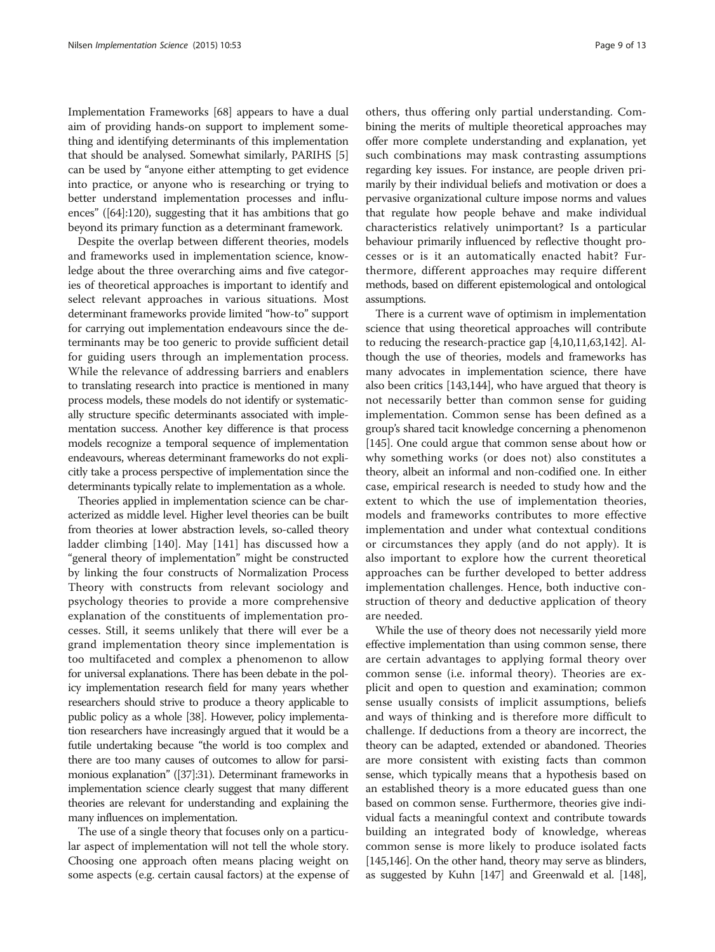Implementation Frameworks [[68](#page-10-0)] appears to have a dual aim of providing hands-on support to implement something and identifying determinants of this implementation that should be analysed. Somewhat similarly, PARIHS [[5](#page-9-0)] can be used by "anyone either attempting to get evidence into practice, or anyone who is researching or trying to better understand implementation processes and influences" ([[64](#page-10-0)]:120), suggesting that it has ambitions that go beyond its primary function as a determinant framework.

Despite the overlap between different theories, models and frameworks used in implementation science, knowledge about the three overarching aims and five categories of theoretical approaches is important to identify and select relevant approaches in various situations. Most determinant frameworks provide limited "how-to" support for carrying out implementation endeavours since the determinants may be too generic to provide sufficient detail for guiding users through an implementation process. While the relevance of addressing barriers and enablers to translating research into practice is mentioned in many process models, these models do not identify or systematically structure specific determinants associated with implementation success. Another key difference is that process models recognize a temporal sequence of implementation endeavours, whereas determinant frameworks do not explicitly take a process perspective of implementation since the determinants typically relate to implementation as a whole.

Theories applied in implementation science can be characterized as middle level. Higher level theories can be built from theories at lower abstraction levels, so-called theory ladder climbing [\[140](#page-11-0)]. May [[141\]](#page-11-0) has discussed how a "general theory of implementation" might be constructed by linking the four constructs of Normalization Process Theory with constructs from relevant sociology and psychology theories to provide a more comprehensive explanation of the constituents of implementation processes. Still, it seems unlikely that there will ever be a grand implementation theory since implementation is too multifaceted and complex a phenomenon to allow for universal explanations. There has been debate in the policy implementation research field for many years whether researchers should strive to produce a theory applicable to public policy as a whole [\[38](#page-9-0)]. However, policy implementation researchers have increasingly argued that it would be a futile undertaking because "the world is too complex and there are too many causes of outcomes to allow for parsimonious explanation" ([[37\]](#page-9-0):31). Determinant frameworks in implementation science clearly suggest that many different theories are relevant for understanding and explaining the many influences on implementation.

The use of a single theory that focuses only on a particular aspect of implementation will not tell the whole story. Choosing one approach often means placing weight on some aspects (e.g. certain causal factors) at the expense of

others, thus offering only partial understanding. Combining the merits of multiple theoretical approaches may offer more complete understanding and explanation, yet such combinations may mask contrasting assumptions regarding key issues. For instance, are people driven primarily by their individual beliefs and motivation or does a pervasive organizational culture impose norms and values that regulate how people behave and make individual characteristics relatively unimportant? Is a particular behaviour primarily influenced by reflective thought processes or is it an automatically enacted habit? Furthermore, different approaches may require different methods, based on different epistemological and ontological assumptions.

There is a current wave of optimism in implementation science that using theoretical approaches will contribute to reducing the research-practice gap [\[4,10,11](#page-9-0)[,63](#page-10-0)[,142](#page-11-0)]. Although the use of theories, models and frameworks has many advocates in implementation science, there have also been critics [\[143](#page-11-0),[144](#page-11-0)], who have argued that theory is not necessarily better than common sense for guiding implementation. Common sense has been defined as a group's shared tacit knowledge concerning a phenomenon [[145](#page-11-0)]. One could argue that common sense about how or why something works (or does not) also constitutes a theory, albeit an informal and non-codified one. In either case, empirical research is needed to study how and the extent to which the use of implementation theories, models and frameworks contributes to more effective implementation and under what contextual conditions or circumstances they apply (and do not apply). It is also important to explore how the current theoretical approaches can be further developed to better address implementation challenges. Hence, both inductive construction of theory and deductive application of theory are needed.

While the use of theory does not necessarily yield more effective implementation than using common sense, there are certain advantages to applying formal theory over common sense (i.e. informal theory). Theories are explicit and open to question and examination; common sense usually consists of implicit assumptions, beliefs and ways of thinking and is therefore more difficult to challenge. If deductions from a theory are incorrect, the theory can be adapted, extended or abandoned. Theories are more consistent with existing facts than common sense, which typically means that a hypothesis based on an established theory is a more educated guess than one based on common sense. Furthermore, theories give individual facts a meaningful context and contribute towards building an integrated body of knowledge, whereas common sense is more likely to produce isolated facts [[145](#page-11-0)[,146](#page-12-0)]. On the other hand, theory may serve as blinders, as suggested by Kuhn [\[147](#page-12-0)] and Greenwald et al. [\[148](#page-12-0)],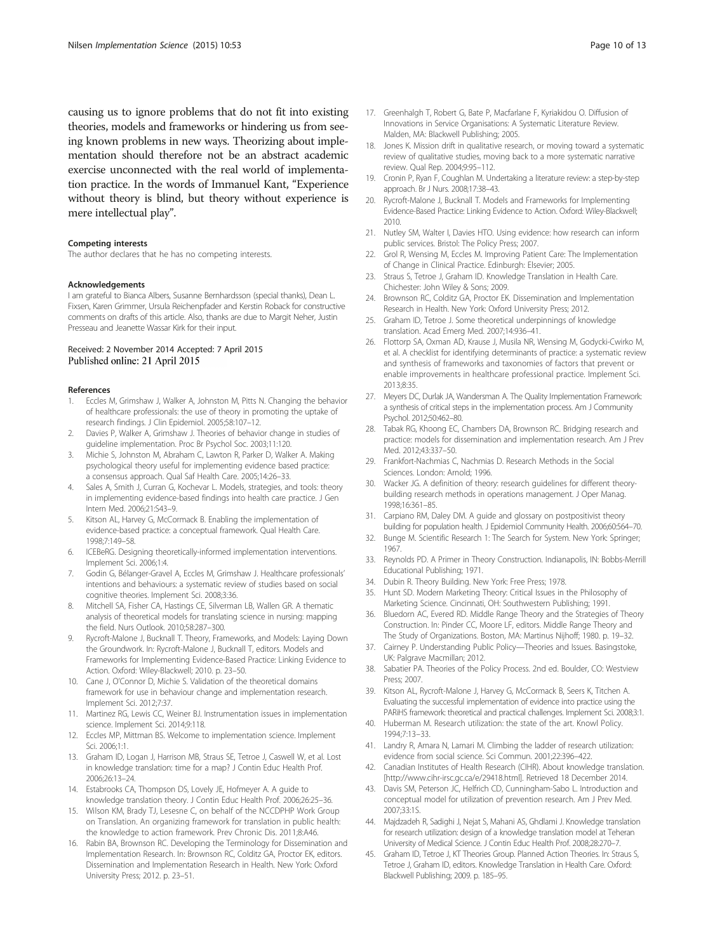<span id="page-9-0"></span>causing us to ignore problems that do not fit into existing theories, models and frameworks or hindering us from seeing known problems in new ways. Theorizing about implementation should therefore not be an abstract academic exercise unconnected with the real world of implementation practice. In the words of Immanuel Kant, "Experience without theory is blind, but theory without experience is mere intellectual play".

#### Competing interests

The author declares that he has no competing interests.

#### Acknowledgements

I am grateful to Bianca Albers, Susanne Bernhardsson (special thanks), Dean L. Fixsen, Karen Grimmer, Ursula Reichenpfader and Kerstin Roback for constructive comments on drafts of this article. Also, thanks are due to Margit Neher, Justin Presseau and Jeanette Wassar Kirk for their input.

#### Received: 2 November 2014 Accepted: 7 April 2015 Published online: 21 April 2015

#### References

- 1. Eccles M, Grimshaw J, Walker A, Johnston M, Pitts N. Changing the behavior of healthcare professionals: the use of theory in promoting the uptake of research findings. J Clin Epidemiol. 2005;58:107–12.
- 2. Davies P, Walker A, Grimshaw J. Theories of behavior change in studies of guideline implementation. Proc Br Psychol Soc. 2003;11:120.
- 3. Michie S, Johnston M, Abraham C, Lawton R, Parker D, Walker A. Making psychological theory useful for implementing evidence based practice: a consensus approach. Qual Saf Health Care. 2005;14:26–33.
- 4. Sales A, Smith J, Curran G, Kochevar L. Models, strategies, and tools: theory in implementing evidence-based findings into health care practice. J Gen Intern Med. 2006;21:S43–9.
- Kitson AL, Harvey G, McCormack B. Enabling the implementation of evidence-based practice: a conceptual framework. Qual Health Care. 1998;7:149–58.
- ICEBeRG. Designing theoretically-informed implementation interventions. Implement Sci. 2006;1:4.
- 7. Godin G, Bélanger-Gravel A, Eccles M, Grimshaw J. Healthcare professionals' intentions and behaviours: a systematic review of studies based on social cognitive theories. Implement Sci. 2008;3:36.
- Mitchell SA, Fisher CA, Hastings CE, Silverman LB, Wallen GR. A thematic analysis of theoretical models for translating science in nursing: mapping the field. Nurs Outlook. 2010;58:287–300.
- 9. Rycroft-Malone J, Bucknall T. Theory, Frameworks, and Models: Laying Down the Groundwork. In: Rycroft-Malone J, Bucknall T, editors. Models and Frameworks for Implementing Evidence-Based Practice: Linking Evidence to Action. Oxford: Wiley-Blackwell; 2010. p. 23–50.
- 10. Cane J, O'Connor D, Michie S. Validation of the theoretical domains framework for use in behaviour change and implementation research. Implement Sci. 2012;7:37.
- 11. Martinez RG, Lewis CC, Weiner BJ. Instrumentation issues in implementation science. Implement Sci. 2014;9:118.
- 12. Eccles MP, Mittman BS. Welcome to implementation science. Implement Sci. 2006;1:1.
- 13. Graham ID, Logan J, Harrison MB, Straus SE, Tetroe J, Caswell W, et al. Lost in knowledge translation: time for a map? J Contin Educ Health Prof. 2006;26:13–24.
- 14. Estabrooks CA, Thompson DS, Lovely JE, Hofmeyer A. A guide to knowledge translation theory. J Contin Educ Health Prof. 2006;26:25–36.
- 15. Wilson KM, Brady TJ, Lesesne C, on behalf of the NCCDPHP Work Group on Translation. An organizing framework for translation in public health: the knowledge to action framework. Prev Chronic Dis. 2011;8:A46.
- Rabin BA, Brownson RC. Developing the Terminology for Dissemination and Implementation Research. In: Brownson RC, Colditz GA, Proctor EK, editors. Dissemination and Implementation Research in Health. New York: Oxford University Press; 2012. p. 23–51.
- 17. Greenhalgh T, Robert G, Bate P, Macfarlane F, Kyriakidou O. Diffusion of Innovations in Service Organisations: A Systematic Literature Review. Malden, MA: Blackwell Publishing; 2005.
- 18. Jones K. Mission drift in qualitative research, or moving toward a systematic review of qualitative studies, moving back to a more systematic narrative review. Qual Rep. 2004;9:95–112.
- 19. Cronin P, Ryan F, Coughlan M. Undertaking a literature review: a step-by-step approach. Br J Nurs. 2008;17:38–43.
- 20. Rycroft-Malone J, Bucknall T. Models and Frameworks for Implementing Evidence-Based Practice: Linking Evidence to Action. Oxford: Wiley-Blackwell; 2010.
- 21. Nutley SM, Walter I, Davies HTO. Using evidence: how research can inform public services. Bristol: The Policy Press; 2007.
- 22. Grol R, Wensing M, Eccles M. Improving Patient Care: The Implementation of Change in Clinical Practice. Edinburgh: Elsevier; 2005.
- 23. Straus S, Tetroe J, Graham ID. Knowledge Translation in Health Care. Chichester: John Wiley & Sons; 2009.
- 24. Brownson RC, Colditz GA, Proctor EK. Dissemination and Implementation Research in Health. New York: Oxford University Press; 2012.
- 25. Graham ID, Tetroe J. Some theoretical underpinnings of knowledge translation. Acad Emerg Med. 2007;14:936–41.
- 26. Flottorp SA, Oxman AD, Krause J, Musila NR, Wensing M, Godycki-Cwirko M, et al. A checklist for identifying determinants of practice: a systematic review and synthesis of frameworks and taxonomies of factors that prevent or enable improvements in healthcare professional practice. Implement Sci. 2013;8:35.
- 27. Meyers DC, Durlak JA, Wandersman A. The Quality Implementation Framework: a synthesis of critical steps in the implementation process. Am J Community Psychol. 2012;50:462–80.
- 28. Tabak RG, Khoong EC, Chambers DA, Brownson RC. Bridging research and practice: models for dissemination and implementation research. Am J Prev Med. 2012;43:337–50.
- 29. Frankfort-Nachmias C, Nachmias D. Research Methods in the Social Sciences. London: Arnold; 1996.
- 30. Wacker JG. A definition of theory: research guidelines for different theorybuilding research methods in operations management. J Oper Manag. 1998;16:361–85.
- 31. Carpiano RM, Daley DM. A guide and glossary on postpositivist theory building for population health. J Epidemiol Community Health. 2006;60:564–70.
- 32. Bunge M. Scientific Research 1: The Search for System. New York: Springer; 1967.
- 33. Reynolds PD. A Primer in Theory Construction. Indianapolis, IN: Bobbs-Merrill Educational Publishing; 1971.
- 34. Dubin R. Theory Building. New York: Free Press; 1978.
- 35. Hunt SD. Modern Marketing Theory: Critical Issues in the Philosophy of Marketing Science. Cincinnati, OH: Southwestern Publishing; 1991.
- 36. Bluedorn AC, Evered RD. Middle Range Theory and the Strategies of Theory Construction. In: Pinder CC, Moore LF, editors. Middle Range Theory and The Study of Organizations. Boston, MA: Martinus Nijhoff; 1980. p. 19–32.
- 37. Cairney P. Understanding Public Policy—Theories and Issues. Basingstoke, UK: Palgrave Macmillan; 2012.
- 38. Sabatier PA. Theories of the Policy Process. 2nd ed. Boulder, CO: Westview Press; 2007.
- 39. Kitson AL, Rycroft-Malone J, Harvey G, McCormack B, Seers K, Titchen A. Evaluating the successful implementation of evidence into practice using the PARiHS framework: theoretical and practical challenges. Implement Sci. 2008;3:1.
- 40. Huberman M. Research utilization: the state of the art. Knowl Policy. 1994;7:13–33.
- 41. Landry R, Amara N, Lamari M. Climbing the ladder of research utilization: evidence from social science. Sci Commun. 2001;22:396–422.
- 42. Canadian Institutes of Health Research (CIHR). About knowledge translation. [<http://www.cihr-irsc.gc.ca/e/29418.html>]. Retrieved 18 December 2014.
- 43. Davis SM, Peterson JC, Helfrich CD, Cunningham-Sabo L. Introduction and conceptual model for utilization of prevention research. Am J Prev Med. 2007;33:1S.
- 44. Majdzadeh R, Sadighi J, Nejat S, Mahani AS, Ghdlami J. Knowledge translation for research utilization: design of a knowledge translation model at Teheran University of Medical Science. J Contin Educ Health Prof. 2008;28:270–7.
- 45. Graham ID, Tetroe J, KT Theories Group. Planned Action Theories. In: Straus S, Tetroe J, Graham ID, editors. Knowledge Translation in Health Care. Oxford: Blackwell Publishing; 2009. p. 185–95.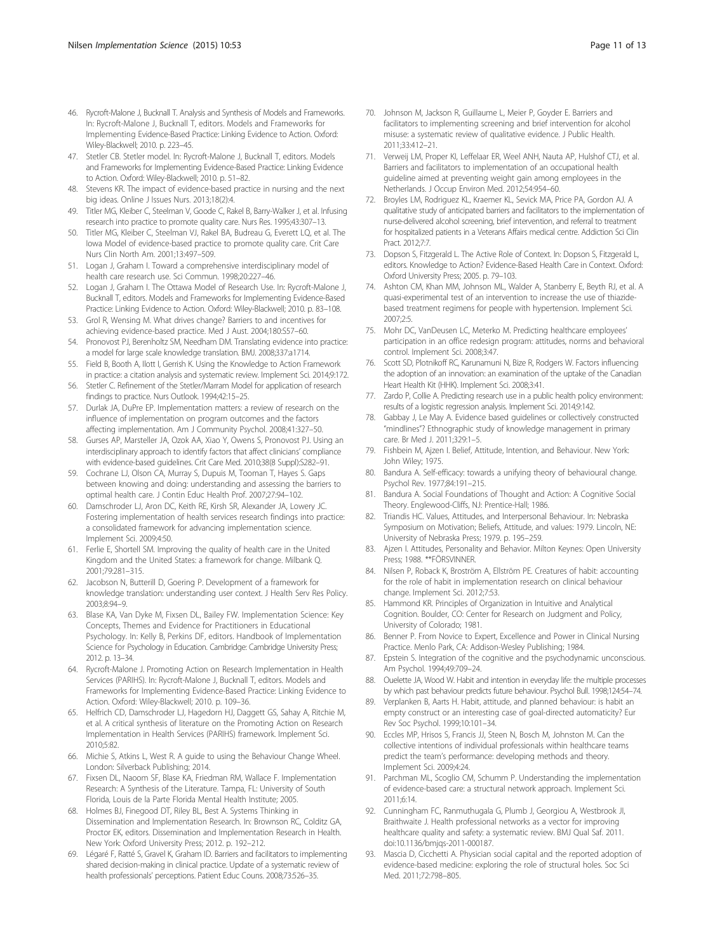- <span id="page-10-0"></span>46. Rycroft-Malone J, Bucknall T. Analysis and Synthesis of Models and Frameworks. In: Rycroft-Malone J, Bucknall T, editors. Models and Frameworks for Implementing Evidence-Based Practice: Linking Evidence to Action. Oxford: Wiley-Blackwell; 2010. p. 223–45.
- 47. Stetler CB. Stetler model. In: Rycroft-Malone J, Bucknall T, editors. Models and Frameworks for Implementing Evidence-Based Practice: Linking Evidence to Action. Oxford: Wiley-Blackwell; 2010. p. 51–82.
- 48. Stevens KR. The impact of evidence-based practice in nursing and the next big ideas. Online J Issues Nurs. 2013;18(2):4.
- 49. Titler MG, Kleiber C, Steelman V, Goode C, Rakel B, Barry-Walker J, et al. Infusing research into practice to promote quality care. Nurs Res. 1995;43:307–13.
- 50. Titler MG, Kleiber C, Steelman VJ, Rakel BA, Budreau G, Everett LQ, et al. The Iowa Model of evidence-based practice to promote quality care. Crit Care Nurs Clin North Am. 2001;13:497–509.
- 51. Logan J, Graham I. Toward a comprehensive interdisciplinary model of health care research use. Sci Commun. 1998;20:227–46.
- 52. Logan J, Graham I. The Ottawa Model of Research Use. In: Rycroft-Malone J, Bucknall T, editors. Models and Frameworks for Implementing Evidence-Based Practice: Linking Evidence to Action. Oxford: Wiley-Blackwell; 2010. p. 83–108.
- 53. Grol R, Wensing M. What drives change? Barriers to and incentives for achieving evidence-based practice. Med J Aust. 2004;180:S57–60.
- 54. Pronovost PJ, Berenholtz SM, Needham DM. Translating evidence into practice: a model for large scale knowledge translation. BMJ. 2008;337:a1714.
- 55. Field B, Booth A, Ilott I, Gerrish K. Using the Knowledge to Action Framework in practice: a citation analysis and systematic review. Implement Sci. 2014;9:172.
- 56. Stetler C. Refinement of the Stetler/Marram Model for application of research findings to practice. Nurs Outlook. 1994;42:15–25.
- 57. Durlak JA, DuPre EP. Implementation matters: a review of research on the influence of implementation on program outcomes and the factors affecting implementation. Am J Community Psychol. 2008;41:327–50.
- 58. Gurses AP, Marsteller JA, Ozok AA, Xiao Y, Owens S, Pronovost PJ. Using an interdisciplinary approach to identify factors that affect clinicians' compliance with evidence-based guidelines. Crit Care Med. 2010;38(8 Suppl):S282–91.
- 59. Cochrane LJ, Olson CA, Murray S, Dupuis M, Tooman T, Hayes S. Gaps between knowing and doing: understanding and assessing the barriers to optimal health care. J Contin Educ Health Prof. 2007;27:94–102.
- 60. Damschroder LJ, Aron DC, Keith RE, Kirsh SR, Alexander JA, Lowery JC. Fostering implementation of health services research findings into practice: a consolidated framework for advancing implementation science. Implement Sci. 2009;4:50.
- 61. Ferlie E, Shortell SM. Improving the quality of health care in the United Kingdom and the United States: a framework for change. Milbank Q. 2001;79:281–315.
- 62. Jacobson N, Butterill D, Goering P. Development of a framework for knowledge translation: understanding user context. J Health Serv Res Policy. 2003;8:94–9.
- 63. Blase KA, Van Dyke M, Fixsen DL, Bailey FW. Implementation Science: Key Concepts, Themes and Evidence for Practitioners in Educational Psychology. In: Kelly B, Perkins DF, editors. Handbook of Implementation Science for Psychology in Education. Cambridge: Cambridge University Press; 2012. p. 13–34.
- 64. Rycroft-Malone J. Promoting Action on Research Implementation in Health Services (PARIHS). In: Rycroft-Malone J, Bucknall T, editors. Models and Frameworks for Implementing Evidence-Based Practice: Linking Evidence to Action. Oxford: Wiley-Blackwell; 2010. p. 109–36.
- 65. Helfrich CD, Damschroder LJ, Hagedorn HJ, Daggett GS, Sahay A, Ritchie M, et al. A critical synthesis of literature on the Promoting Action on Research Implementation in Health Services (PARIHS) framework. Implement Sci. 2010;5:82.
- 66. Michie S, Atkins L, West R. A guide to using the Behaviour Change Wheel. London: Silverback Publishing; 2014.
- 67. Fixsen DL, Naoom SF, Blase KA, Friedman RM, Wallace F. Implementation Research: A Synthesis of the Literature. Tampa, FL: University of South Florida, Louis de la Parte Florida Mental Health Institute; 2005.
- 68. Holmes BJ, Finegood DT, Riley BL, Best A. Systems Thinking in Dissemination and Implementation Research. In: Brownson RC, Colditz GA, Proctor EK, editors. Dissemination and Implementation Research in Health. New York: Oxford University Press; 2012. p. 192–212.
- 69. Légaré F, Ratté S, Gravel K, Graham ID. Barriers and facilitators to implementing shared decision-making in clinical practice. Update of a systematic review of health professionals' perceptions. Patient Educ Couns. 2008;73:526–35.
- 70. Johnson M, Jackson R, Guillaume L, Meier P, Goyder E. Barriers and facilitators to implementing screening and brief intervention for alcohol misuse: a systematic review of qualitative evidence. J Public Health. 2011;33:412–21.
- 71. Verweij LM, Proper KI, Leffelaar ER, Weel ANH, Nauta AP, Hulshof CTJ, et al. Barriers and facilitators to implementation of an occupational health guideline aimed at preventing weight gain among employees in the Netherlands. J Occup Environ Med. 2012;54:954–60.
- 72. Broyles LM, Rodriguez KL, Kraemer KL, Sevick MA, Price PA, Gordon AJ. A qualitative study of anticipated barriers and facilitators to the implementation of nurse-delivered alcohol screening, brief intervention, and referral to treatment for hospitalized patients in a Veterans Affairs medical centre. Addiction Sci Clin Pract. 2012;7:7.
- 73. Dopson S, Fitzgerald L. The Active Role of Context. In: Dopson S, Fitzgerald L, editors. Knowledge to Action? Evidence-Based Health Care in Context. Oxford: Oxford University Press; 2005. p. 79–103.
- 74. Ashton CM, Khan MM, Johnson ML, Walder A, Stanberry E, Beyth RJ, et al. A quasi-experimental test of an intervention to increase the use of thiazidebased treatment regimens for people with hypertension. Implement Sci. 2007;2:5.
- 75. Mohr DC, VanDeusen LC, Meterko M. Predicting healthcare employees' participation in an office redesign program: attitudes, norms and behavioral control. Implement Sci. 2008;3:47.
- 76. Scott SD, Plotnikoff RC, Karunamuni N, Bize R, Rodgers W. Factors influencing the adoption of an innovation: an examination of the uptake of the Canadian Heart Health Kit (HHK). Implement Sci. 2008;3:41.
- 77. Zardo P, Collie A. Predicting research use in a public health policy environment: results of a logistic regression analysis. Implement Sci. 2014;9:142.
- 78. Gabbay J, Le May A. Evidence based guidelines or collectively constructed "mindlines"? Ethnographic study of knowledge management in primary care. Br Med J. 2011;329:1–5.
- 79. Fishbein M, Ajzen I. Belief, Attitude, Intention, and Behaviour. New York: John Wiley; 1975.
- 80. Bandura A. Self-efficacy: towards a unifying theory of behavioural change. Psychol Rev. 1977;84:191–215.
- 81. Bandura A. Social Foundations of Thought and Action: A Cognitive Social Theory. Englewood-Cliffs, NJ: Prentice-Hall; 1986.
- 82. Triandis HC. Values, Attitudes, and Interpersonal Behaviour. In: Nebraska Symposium on Motivation; Beliefs, Attitude, and values: 1979. Lincoln, NE: University of Nebraska Press; 1979. p. 195–259.
- 83. Ajzen I. Attitudes, Personality and Behavior. Milton Keynes: Open University Press; 1988. \*\*FÖRSVINNER.
- 84. Nilsen P, Roback K, Broström A, Ellström PE. Creatures of habit: accounting for the role of habit in implementation research on clinical behaviour change. Implement Sci. 2012;7:53.
- 85. Hammond KR. Principles of Organization in Intuitive and Analytical Cognition. Boulder, CO: Center for Research on Judgment and Policy, University of Colorado; 1981.
- 86. Benner P. From Novice to Expert, Excellence and Power in Clinical Nursing Practice. Menlo Park, CA: Addison-Wesley Publishing; 1984.
- 87. Epstein S. Integration of the cognitive and the psychodynamic unconscious. Am Psychol. 1994;49:709–24.
- 88. Ouelette JA, Wood W. Habit and intention in everyday life: the multiple processes by which past behaviour predicts future behaviour. Psychol Bull. 1998;124:54–74.
- 89. Verplanken B, Aarts H. Habit, attitude, and planned behaviour: is habit an empty construct or an interesting case of goal-directed automaticity? Eur Rev Soc Psychol. 1999;10:101–34.
- 90. Eccles MP, Hrisos S, Francis JJ, Steen N, Bosch M, Johnston M. Can the collective intentions of individual professionals within healthcare teams predict the team's performance: developing methods and theory. Implement Sci. 2009;4:24.
- 91. Parchman ML, Scoglio CM, Schumm P. Understanding the implementation of evidence-based care: a structural network approach. Implement Sci. 2011;6:14.
- 92. Cunningham FC, Ranmuthugala G, Plumb J, Georgiou A, Westbrook JI, Braithwaite J. Health professional networks as a vector for improving healthcare quality and safety: a systematic review. BMJ Qual Saf. 2011. doi:10.1136/bmjqs-2011-000187.
- 93. Mascia D, Cicchetti A. Physician social capital and the reported adoption of evidence-based medicine: exploring the role of structural holes. Soc Sci Med. 2011;72:798–805.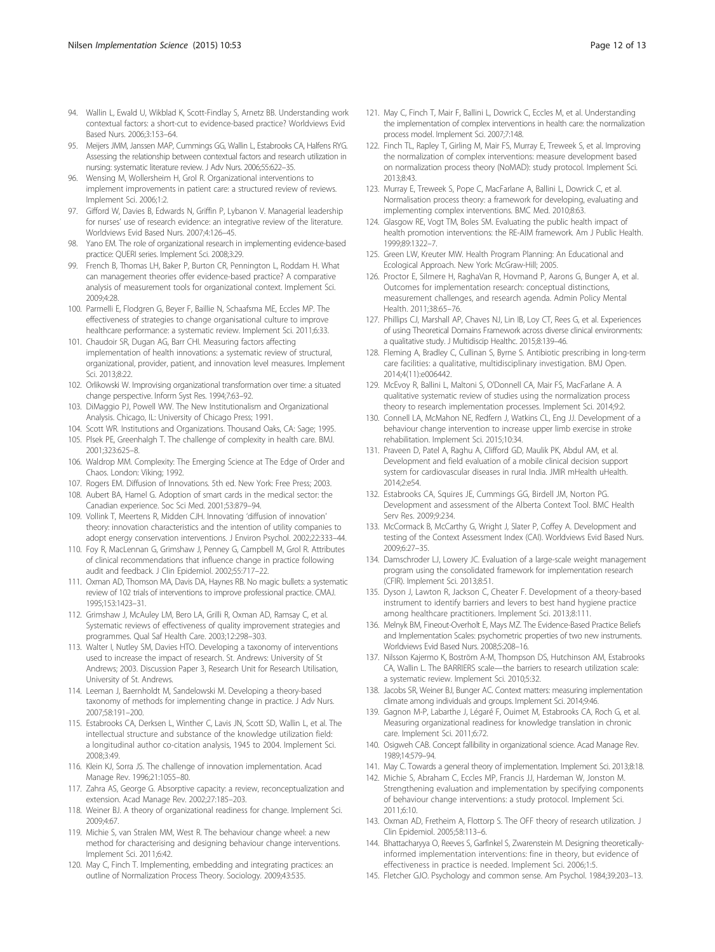- <span id="page-11-0"></span>94. Wallin L, Ewald U, Wikblad K, Scott-Findlay S, Arnetz BB. Understanding work contextual factors: a short-cut to evidence-based practice? Worldviews Evid Based Nurs. 2006;3:153–64.
- 95. Meijers JMM, Janssen MAP, Cummings GG, Wallin L, Estabrooks CA, Halfens RYG. Assessing the relationship between contextual factors and research utilization in nursing: systematic literature review. J Adv Nurs. 2006;55:622–35.
- 96. Wensing M, Wollersheim H, Grol R. Organizational interventions to implement improvements in patient care: a structured review of reviews. Implement Sci. 2006;1:2.
- 97. Gifford W, Davies B, Edwards N, Griffin P, Lybanon V. Managerial leadership for nurses' use of research evidence: an integrative review of the literature. Worldviews Evid Based Nurs. 2007;4:126–45.
- 98. Yano EM. The role of organizational research in implementing evidence-based practice: QUERI series. Implement Sci. 2008;3:29.
- 99. French B, Thomas LH, Baker P, Burton CR, Pennington L, Roddam H. What can management theories offer evidence-based practice? A comparative analysis of measurement tools for organizational context. Implement Sci. 2009;4:28.
- 100. Parmelli E, Flodgren G, Beyer F, Baillie N, Schaafsma ME, Eccles MP. The effectiveness of strategies to change organisational culture to improve healthcare performance: a systematic review. Implement Sci. 2011;6:33.
- 101. Chaudoir SR, Dugan AG, Barr CHI. Measuring factors affecting implementation of health innovations: a systematic review of structural, organizational, provider, patient, and innovation level measures. Implement Sci. 2013;8:22.
- 102. Orlikowski W. Improvising organizational transformation over time: a situated change perspective. Inform Syst Res. 1994;7:63–92.
- 103. DiMaggio PJ, Powell WW. The New Institutionalism and Organizational Analysis. Chicago, IL: University of Chicago Press; 1991.
- 104. Scott WR. Institutions and Organizations. Thousand Oaks, CA: Sage; 1995.
- 105. Plsek PE, Greenhalgh T. The challenge of complexity in health care. BMJ. 2001;323:625–8.
- 106. Waldrop MM. Complexity: The Emerging Science at The Edge of Order and Chaos. London: Viking; 1992.
- 107. Rogers EM. Diffusion of Innovations. 5th ed. New York: Free Press; 2003.
- 108. Aubert BA, Hamel G. Adoption of smart cards in the medical sector: the Canadian experience. Soc Sci Med. 2001;53:879–94.
- 109. Vollink T, Meertens R, Midden CJH. Innovating 'diffusion of innovation' theory: innovation characteristics and the intention of utility companies to adopt energy conservation interventions. J Environ Psychol. 2002;22:333–44.
- 110. Foy R, MacLennan G, Grimshaw J, Penney G, Campbell M, Grol R. Attributes of clinical recommendations that influence change in practice following audit and feedback. J Clin Epidemiol. 2002;55:717–22.
- 111. Oxman AD, Thomson MA, Davis DA, Haynes RB. No magic bullets: a systematic review of 102 trials of interventions to improve professional practice. CMAJ. 1995;153:1423–31.
- 112. Grimshaw J, McAuley LM, Bero LA, Grilli R, Oxman AD, Ramsay C, et al. Systematic reviews of effectiveness of quality improvement strategies and programmes. Qual Saf Health Care. 2003;12:298–303.
- 113. Walter I, Nutley SM, Davies HTO. Developing a taxonomy of interventions used to increase the impact of research. St. Andrews: University of St Andrews; 2003. Discussion Paper 3, Research Unit for Research Utilisation, University of St. Andrews.
- 114. Leeman J, Baernholdt M, Sandelowski M. Developing a theory-based taxonomy of methods for implementing change in practice. J Adv Nurs. 2007;58:191–200.
- 115. Estabrooks CA, Derksen L, Winther C, Lavis JN, Scott SD, Wallin L, et al. The intellectual structure and substance of the knowledge utilization field: a longitudinal author co-citation analysis, 1945 to 2004. Implement Sci. 2008;3:49.
- 116. Klein KJ, Sorra JS. The challenge of innovation implementation. Acad Manage Rev. 1996;21:1055–80.
- 117. Zahra AS, George G. Absorptive capacity: a review, reconceptualization and extension. Acad Manage Rev. 2002;27:185–203.
- 118. Weiner BJ. A theory of organizational readiness for change. Implement Sci. 2009;4:67.
- 119. Michie S, van Stralen MM, West R. The behaviour change wheel: a new method for characterising and designing behaviour change interventions. Implement Sci. 2011;6:42.
- 120. May C, Finch T. Implementing, embedding and integrating practices: an outline of Normalization Process Theory. Sociology. 2009;43:535.
- 121. May C, Finch T, Mair F, Ballini L, Dowrick C, Eccles M, et al. Understanding the implementation of complex interventions in health care: the normalization process model. Implement Sci. 2007;7:148.
- 122. Finch TL, Rapley T, Girling M, Mair FS, Murray E, Treweek S, et al. Improving the normalization of complex interventions: measure development based on normalization process theory (NoMAD): study protocol. Implement Sci. 2013;8:43.
- 123. Murray E, Treweek S, Pope C, MacFarlane A, Ballini L, Dowrick C, et al. Normalisation process theory: a framework for developing, evaluating and implementing complex interventions. BMC Med. 2010;8:63.
- 124. Glasgow RE, Vogt TM, Boles SM. Evaluating the public health impact of health promotion interventions: the RE-AIM framework. Am J Public Health. 1999;89:1322–7.
- 125. Green LW, Kreuter MW. Health Program Planning: An Educational and Ecological Approach. New York: McGraw-Hill; 2005.
- 126. Proctor E, Silmere H, RaghaVan R, Hovmand P, Aarons G, Bunger A, et al. Outcomes for implementation research: conceptual distinctions, measurement challenges, and research agenda. Admin Policy Mental Health. 2011;38:65–76.
- 127. Phillips CJ, Marshall AP, Chaves NJ, Lin IB, Loy CT, Rees G, et al. Experiences of using Theoretical Domains Framework across diverse clinical environments: a qualitative study. J Multidiscip Healthc. 2015;8:139–46.
- 128. Fleming A, Bradley C, Cullinan S, Byrne S. Antibiotic prescribing in long-term care facilities: a qualitative, multidisciplinary investigation. BMJ Open. 2014;4(11):e006442.
- 129. McEvoy R, Ballini L, Maltoni S, O'Donnell CA, Mair FS, MacFarlane A. A qualitative systematic review of studies using the normalization process theory to research implementation processes. Implement Sci. 2014;9:2.
- 130. Connell LA, McMahon NE, Redfern J, Watkins CL, Eng JJ. Development of a behaviour change intervention to increase upper limb exercise in stroke rehabilitation. Implement Sci. 2015;10:34.
- 131. Praveen D, Patel A, Raghu A, Clifford GD, Maulik PK, Abdul AM, et al. Development and field evaluation of a mobile clinical decision support system for cardiovascular diseases in rural India. JMIR mHealth uHealth. 2014;2:e54.
- 132. Estabrooks CA, Squires JE, Cummings GG, Birdell JM, Norton PG. Development and assessment of the Alberta Context Tool. BMC Health Serv Res. 2009;9:234.
- 133. McCormack B, McCarthy G, Wright J, Slater P, Coffey A. Development and testing of the Context Assessment Index (CAI). Worldviews Evid Based Nurs. 2009;6:27–35.
- 134. Damschroder LJ, Lowery JC. Evaluation of a large-scale weight management program using the consolidated framework for implementation research (CFIR). Implement Sci. 2013;8:51.
- 135. Dyson J, Lawton R, Jackson C, Cheater F. Development of a theory-based instrument to identify barriers and levers to best hand hygiene practice among healthcare practitioners. Implement Sci. 2013;8:111.
- 136. Melnyk BM, Fineout-Overholt E, Mays MZ. The Evidence-Based Practice Beliefs and Implementation Scales: psychometric properties of two new instruments. Worldviews Evid Based Nurs. 2008;5:208–16.
- 137. Nilsson Kajermo K, Boström A-M, Thompson DS, Hutchinson AM, Estabrooks CA, Wallin L. The BARRIERS scale—the barriers to research utilization scale: a systematic review. Implement Sci. 2010;5:32.
- 138. Jacobs SR, Weiner BJ, Bunger AC. Context matters: measuring implementation climate among individuals and groups. Implement Sci. 2014;9:46.
- 139. Gagnon M-P, Labarthe J, Légaré F, Ouimet M, Estabrooks CA, Roch G, et al. Measuring organizational readiness for knowledge translation in chronic care. Implement Sci. 2011;6:72.
- 140. Osigweh CAB. Concept fallibility in organizational science. Acad Manage Rev. 1989;14:579–94.
- 141. May C. Towards a general theory of implementation. Implement Sci. 2013;8:18.
- 142. Michie S, Abraham C, Eccles MP, Francis JJ, Hardeman W, Jonston M. Strengthening evaluation and implementation by specifying components of behaviour change interventions: a study protocol. Implement Sci. 2011;6:10.
- 143. Oxman AD, Fretheim A, Flottorp S. The OFF theory of research utilization. J Clin Epidemiol. 2005;58:113–6.
- 144. Bhattacharyya O, Reeves S, Garfinkel S, Zwarenstein M. Designing theoreticallyinformed implementation interventions: fine in theory, but evidence of effectiveness in practice is needed. Implement Sci. 2006;1:5.
- 145. Fletcher GJO. Psychology and common sense. Am Psychol. 1984;39:203–13.